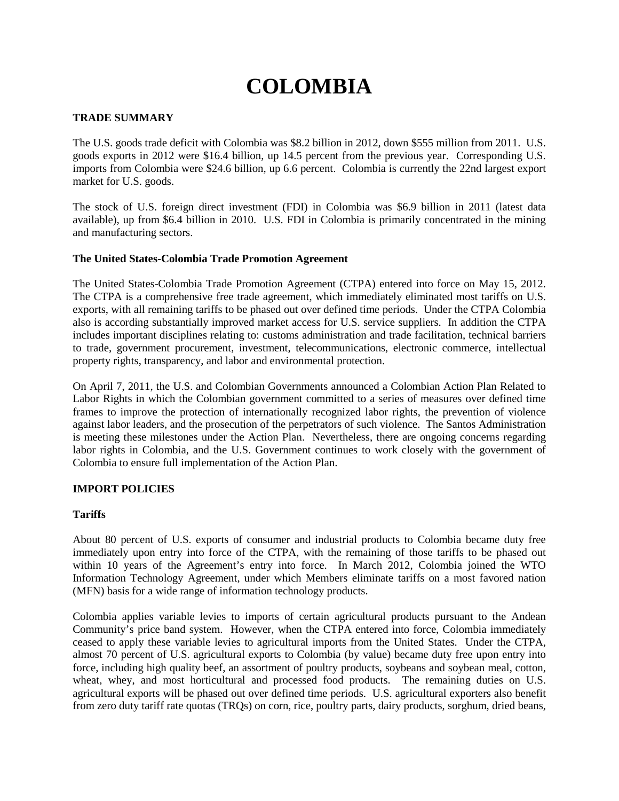# **COLOMBIA**

## **TRADE SUMMARY**

The U.S. goods trade deficit with Colombia was \$8.2 billion in 2012, down \$555 million from 2011. U.S. goods exports in 2012 were \$16.4 billion, up 14.5 percent from the previous year. Corresponding U.S. imports from Colombia were \$24.6 billion, up 6.6 percent. Colombia is currently the 22nd largest export market for U.S. goods.

The stock of U.S. foreign direct investment (FDI) in Colombia was \$6.9 billion in 2011 (latest data available), up from \$6.4 billion in 2010. U.S. FDI in Colombia is primarily concentrated in the mining and manufacturing sectors.

#### **The United States-Colombia Trade Promotion Agreement**

The United States-Colombia Trade Promotion Agreement (CTPA) entered into force on May 15, 2012. The CTPA is a comprehensive free trade agreement, which immediately eliminated most tariffs on U.S. exports, with all remaining tariffs to be phased out over defined time periods. Under the CTPA Colombia also is according substantially improved market access for U.S. service suppliers. In addition the CTPA includes important disciplines relating to: customs administration and trade facilitation, technical barriers to trade, government procurement, investment, telecommunications, electronic commerce, intellectual property rights, transparency, and labor and environmental protection.

On April 7, 2011, the U.S. and Colombian Governments announced a Colombian Action Plan Related to Labor Rights in which the Colombian government committed to a series of measures over defined time frames to improve the protection of internationally recognized labor rights, the prevention of violence against labor leaders, and the prosecution of the perpetrators of such violence. The Santos Administration is meeting these milestones under the Action Plan. Nevertheless, there are ongoing concerns regarding labor rights in Colombia, and the U.S. Government continues to work closely with the government of Colombia to ensure full implementation of the Action Plan.

#### **IMPORT POLICIES**

#### **Tariffs**

About 80 percent of U.S. exports of consumer and industrial products to Colombia became duty free immediately upon entry into force of the CTPA, with the remaining of those tariffs to be phased out within 10 years of the Agreement's entry into force. In March 2012, Colombia joined the WTO Information Technology Agreement, under which Members eliminate tariffs on a most favored nation (MFN) basis for a wide range of information technology products.

Colombia applies variable levies to imports of certain agricultural products pursuant to the Andean Community's price band system. However, when the CTPA entered into force, Colombia immediately ceased to apply these variable levies to agricultural imports from the United States. Under the CTPA, almost 70 percent of U.S. agricultural exports to Colombia (by value) became duty free upon entry into force, including high quality beef, an assortment of poultry products, soybeans and soybean meal, cotton, wheat, whey, and most horticultural and processed food products. The remaining duties on U.S. agricultural exports will be phased out over defined time periods. U.S. agricultural exporters also benefit from zero duty tariff rate quotas (TRQs) on corn, rice, poultry parts, dairy products, sorghum, dried beans,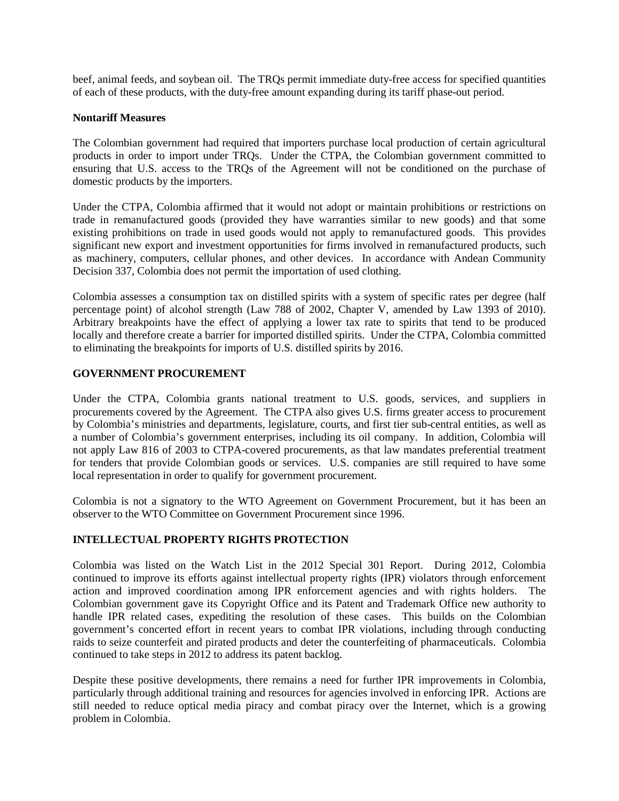beef, animal feeds, and soybean oil. The TRQs permit immediate duty-free access for specified quantities of each of these products, with the duty-free amount expanding during its tariff phase-out period.

#### **Nontariff Measures**

The Colombian government had required that importers purchase local production of certain agricultural products in order to import under TRQs. Under the CTPA, the Colombian government committed to ensuring that U.S. access to the TROs of the Agreement will not be conditioned on the purchase of domestic products by the importers.

Under the CTPA, Colombia affirmed that it would not adopt or maintain prohibitions or restrictions on trade in remanufactured goods (provided they have warranties similar to new goods) and that some existing prohibitions on trade in used goods would not apply to remanufactured goods. This provides significant new export and investment opportunities for firms involved in remanufactured products, such as machinery, computers, cellular phones, and other devices. In accordance with Andean Community Decision 337, Colombia does not permit the importation of used clothing.

Colombia assesses a consumption tax on distilled spirits with a system of specific rates per degree (half percentage point) of alcohol strength (Law 788 of 2002, Chapter V, amended by Law 1393 of 2010). Arbitrary breakpoints have the effect of applying a lower tax rate to spirits that tend to be produced locally and therefore create a barrier for imported distilled spirits. Under the CTPA, Colombia committed to eliminating the breakpoints for imports of U.S. distilled spirits by 2016.

# **GOVERNMENT PROCUREMENT**

Under the CTPA, Colombia grants national treatment to U.S. goods, services, and suppliers in procurements covered by the Agreement. The CTPA also gives U.S. firms greater access to procurement by Colombia's ministries and departments, legislature, courts, and first tier sub-central entities, as well as a number of Colombia's government enterprises, including its oil company. In addition, Colombia will not apply Law 816 of 2003 to CTPA-covered procurements, as that law mandates preferential treatment for tenders that provide Colombian goods or services. U.S. companies are still required to have some local representation in order to qualify for government procurement.

Colombia is not a signatory to the WTO Agreement on Government Procurement, but it has been an observer to the WTO Committee on Government Procurement since 1996.

# **INTELLECTUAL PROPERTY RIGHTS PROTECTION**

Colombia was listed on the Watch List in the 2012 Special 301 Report. During 2012, Colombia continued to improve its efforts against intellectual property rights (IPR) violators through enforcement action and improved coordination among IPR enforcement agencies and with rights holders. The Colombian government gave its Copyright Office and its Patent and Trademark Office new authority to handle IPR related cases, expediting the resolution of these cases. This builds on the Colombian government's concerted effort in recent years to combat IPR violations, including through conducting raids to seize counterfeit and pirated products and deter the counterfeiting of pharmaceuticals. Colombia continued to take steps in 2012 to address its patent backlog.

Despite these positive developments, there remains a need for further IPR improvements in Colombia, particularly through additional training and resources for agencies involved in enforcing IPR. Actions are still needed to reduce optical media piracy and combat piracy over the Internet, which is a growing problem in Colombia.